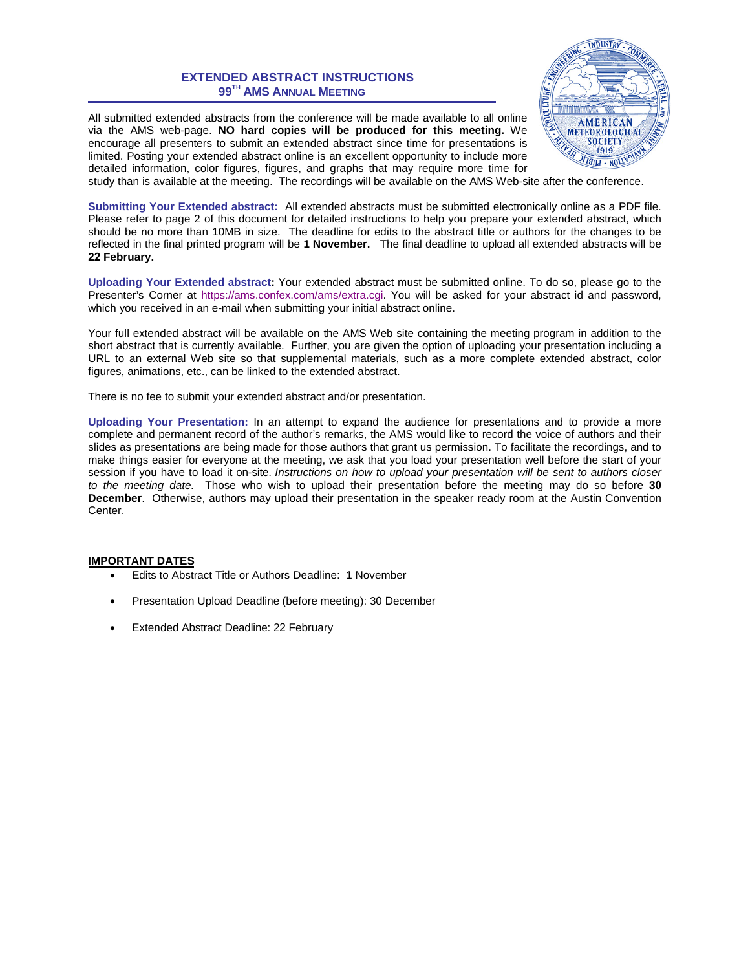### **EXTENDED ABSTRACT INSTRUCTIONS 99 TH AMS ANNUAL MEETING**

All submitted extended abstracts from the conference will be made available to all online via the AMS web-page. **NO hard copies will be produced for this meeting.** We encourage all presenters to submit an extended abstract since time for presentations is limited. Posting your extended abstract online is an excellent opportunity to include more detailed information, color figures, figures, and graphs that may require more time for



study than is available at the meeting. The recordings will be available on the AMS Web-site after the conference.

**Submitting Your Extended abstract:** All extended abstracts must be submitted electronically online as a PDF file. Please refer to page 2 of this document for detailed instructions to help you prepare your extended abstract, which should be no more than 10MB in size. The deadline for edits to the abstract title or authors for the changes to be reflected in the final printed program will be **1 November.** The final deadline to upload all extended abstracts will be **22 February.**

**Uploading Your Extended abstract:** Your extended abstract must be submitted online. To do so, please go to the Presenter's Corner at [https://ams.confex.com/ams/extra.cgi.](https://ams.confex.com/ams/extra.cgi) You will be asked for your abstract id and password, which you received in an e-mail when submitting your initial abstract online.

Your full extended abstract will be available on the AMS Web site containing the meeting program in addition to the short abstract that is currently available. Further, you are given the option of uploading your presentation including a URL to an external Web site so that supplemental materials, such as a more complete extended abstract, color figures, animations, etc., can be linked to the extended abstract.

There is no fee to submit your extended abstract and/or presentation.

**Uploading Your Presentation:** In an attempt to expand the audience for presentations and to provide a more complete and permanent record of the author's remarks, the AMS would like to record the voice of authors and their slides as presentations are being made for those authors that grant us permission. To facilitate the recordings, and to make things easier for everyone at the meeting, we ask that you load your presentation well before the start of your session if you have to load it on-site. *Instructions on how to upload your presentation will be sent to authors closer to the meeting date.* Those who wish to upload their presentation before the meeting may do so before **30 December**. Otherwise, authors may upload their presentation in the speaker ready room at the Austin Convention Center.

#### **IMPORTANT DATES**

- Edits to Abstract Title or Authors Deadline: 1 November
- Presentation Upload Deadline (before meeting): 30 December
- Extended Abstract Deadline: 22 February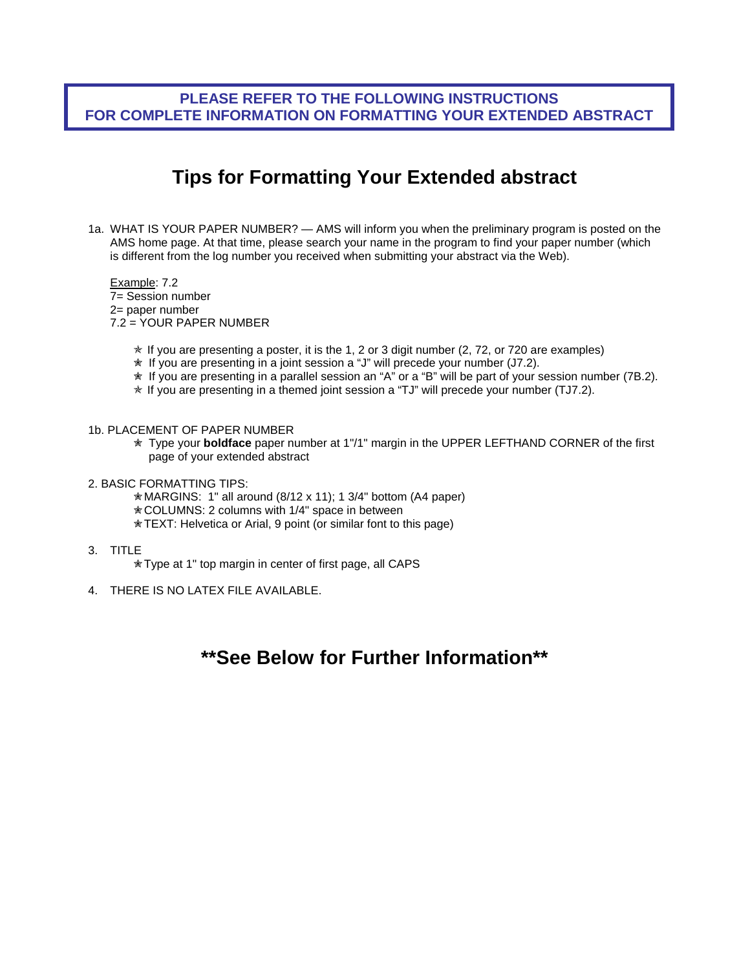# **PLEASE REFER TO THE FOLLOWING INSTRUCTIONS FOR COMPLETE INFORMATION ON FORMATTING YOUR EXTENDED ABSTRACT**

# **Tips for Formatting Your Extended abstract**

1a. WHAT IS YOUR PAPER NUMBER? — AMS will inform you when the preliminary program is posted on the AMS home page. At that time, please search your name in the program to find your paper number (which is different from the log number you received when submitting your abstract via the Web).

Example: 7.2 7= Session number 2= paper number 7.2 = YOUR PAPER NUMBER

- $*$  If you are presenting a poster, it is the 1, 2 or 3 digit number (2, 72, or 720 are examples)
- ✮ If you are presenting in a joint session a "J" will precede your number (J7.2).
- ✮ If you are presenting in a parallel session an "A" or a "B" will be part of your session number (7B.2).
- $*$  If you are presenting in a themed joint session a "TJ" will precede your number (TJ7.2).
- 1b. PLACEMENT OF PAPER NUMBER
	- ✮ Type your **boldface** paper number at 1"/1" margin in the UPPER LEFTHAND CORNER of the first page of your extended abstract
- 2. BASIC FORMATTING TIPS:
	- ✮MARGINS: 1" all around (8/12 x 11); 1 3/4" bottom (A4 paper)
	- ✮COLUMNS: 2 columns with 1/4" space in between
	- ✮TEXT: Helvetica or Arial, 9 point (or similar font to this page)
- 3. TITLE
	- ✮Type at 1" top margin in center of first page, all CAPS
- 4. THERE IS NO LATEX FILE AVAILABLE.

# **\*\*See Below for Further Information\*\***